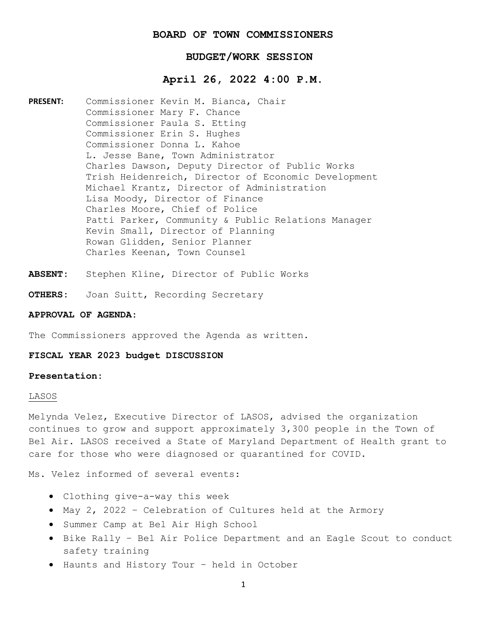# **BOARD OF TOWN COMMISSIONERS**

# **BUDGET/WORK SESSION**

# **April 26, 2022 4:00 P.M.**

**PRESENT:** Commissioner Kevin M. Bianca, Chair Commissioner Mary F. Chance Commissioner Paula S. Etting Commissioner Erin S. Hughes Commissioner Donna L. Kahoe L. Jesse Bane, Town Administrator Charles Dawson, Deputy Director of Public Works Trish Heidenreich, Director of Economic Development Michael Krantz, Director of Administration Lisa Moody, Director of Finance Charles Moore, Chief of Police Patti Parker, Community & Public Relations Manager Kevin Small, Director of Planning Rowan Glidden, Senior Planner Charles Keenan, Town Counsel

- **ABSENT:** Stephen Kline, Director of Public Works
- **OTHERS:** Joan Suitt, Recording Secretary

## **APPROVAL OF AGENDA:**

The Commissioners approved the Agenda as written.

## **FISCAL YEAR 2023 budget DISCUSSION**

# **Presentation:**

### LASOS

Melynda Velez, Executive Director of LASOS, advised the organization continues to grow and support approximately 3,300 people in the Town of Bel Air. LASOS received a State of Maryland Department of Health grant to care for those who were diagnosed or quarantined for COVID.

Ms. Velez informed of several events:

- Clothing give-a-way this week
- May 2, 2022 Celebration of Cultures held at the Armory
- Summer Camp at Bel Air High School
- Bike Rally Bel Air Police Department and an Eagle Scout to conduct safety training
- Haunts and History Tour held in October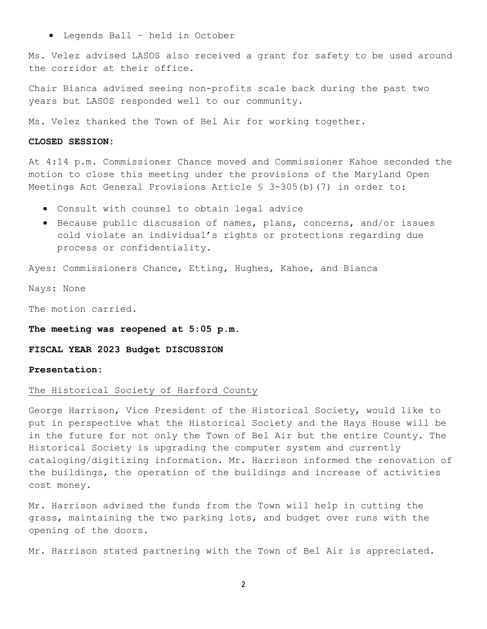• Legends Ball – held in October

Ms. Velez advised LASOS also received a grant for safety to be used around the corridor at their office.

Chair Bianca advised seeing non-profits scale back during the past two years but LASOS responded well to our community.

Ms. Velez thanked the Town of Bel Air for working together.

## **CLOSED SESSION:**

At 4:14 p.m. Commissioner Chance moved and Commissioner Kahoe seconded the motion to close this meeting under the provisions of the Maryland Open Meetings Act General Provisions Article § 3-305(b)(7) in order to:

- Consult with counsel to obtain legal advice
- Because public discussion of names, plans, concerns, and/or issues cold violate an individual's rights or protections regarding due process or confidentiality.

Ayes: Commissioners Chance, Etting, Hughes, Kahoe, and Bianca

Nays: None

The motion carried.

**The meeting was reopened at 5:05 p.m.**

**FISCAL YEAR 2023 Budget DISCUSSION**

### **Presentation:**

## The Historical Society of Harford County

George Harrison, Vice President of the Historical Society, would like to put in perspective what the Historical Society and the Hays House will be in the future for not only the Town of Bel Air but the entire County. The Historical Society is upgrading the computer system and currently cataloging/digitizing information. Mr. Harrison informed the renovation of the buildings, the operation of the buildings and increase of activities cost money.

Mr. Harrison advised the funds from the Town will help in cutting the grass, maintaining the two parking lots, and budget over runs with the opening of the doors.

Mr. Harrison stated partnering with the Town of Bel Air is appreciated.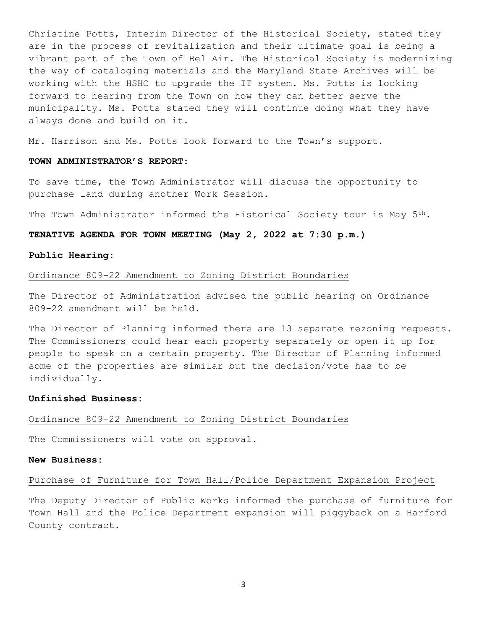Christine Potts, Interim Director of the Historical Society, stated they are in the process of revitalization and their ultimate goal is being a vibrant part of the Town of Bel Air. The Historical Society is modernizing the way of cataloging materials and the Maryland State Archives will be working with the HSHC to upgrade the IT system. Ms. Potts is looking forward to hearing from the Town on how they can better serve the municipality. Ms. Potts stated they will continue doing what they have always done and build on it.

Mr. Harrison and Ms. Potts look forward to the Town's support.

# **TOWN ADMINISTRATOR'S REPORT:**

To save time, the Town Administrator will discuss the opportunity to purchase land during another Work Session.

The Town Administrator informed the Historical Society tour is May 5th.

## **TENATIVE AGENDA FOR TOWN MEETING (May 2, 2022 at 7:30 p.m.)**

## **Public Hearing:**

# Ordinance 809-22 Amendment to Zoning District Boundaries

The Director of Administration advised the public hearing on Ordinance 809-22 amendment will be held.

The Director of Planning informed there are 13 separate rezoning requests. The Commissioners could hear each property separately or open it up for people to speak on a certain property. The Director of Planning informed some of the properties are similar but the decision/vote has to be individually.

## **Unfinished Business:**

## Ordinance 809-22 Amendment to Zoning District Boundaries

The Commissioners will vote on approval.

## **New Business:**

# Purchase of Furniture for Town Hall/Police Department Expansion Project

The Deputy Director of Public Works informed the purchase of furniture for Town Hall and the Police Department expansion will piggyback on a Harford County contract.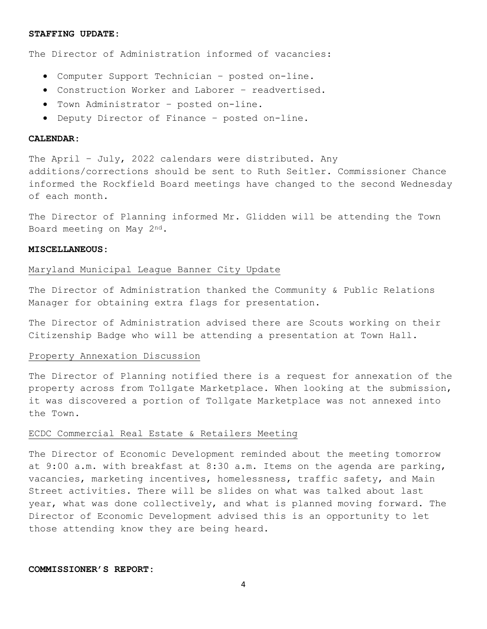#### **STAFFING UPDATE:**

The Director of Administration informed of vacancies:

- Computer Support Technician posted on-line.
- Construction Worker and Laborer readvertised.
- Town Administrator posted on-line.
- Deputy Director of Finance posted on-line.

### **CALENDAR:**

The April – July, 2022 calendars were distributed. Any additions/corrections should be sent to Ruth Seitler. Commissioner Chance informed the Rockfield Board meetings have changed to the second Wednesday of each month.

The Director of Planning informed Mr. Glidden will be attending the Town Board meeting on May 2nd.

### **MISCELLANEOUS:**

### Maryland Municipal League Banner City Update

The Director of Administration thanked the Community & Public Relations Manager for obtaining extra flags for presentation.

The Director of Administration advised there are Scouts working on their Citizenship Badge who will be attending a presentation at Town Hall.

### Property Annexation Discussion

The Director of Planning notified there is a request for annexation of the property across from Tollgate Marketplace. When looking at the submission, it was discovered a portion of Tollgate Marketplace was not annexed into the Town.

### ECDC Commercial Real Estate & Retailers Meeting

The Director of Economic Development reminded about the meeting tomorrow at 9:00 a.m. with breakfast at 8:30 a.m. Items on the agenda are parking, vacancies, marketing incentives, homelessness, traffic safety, and Main Street activities. There will be slides on what was talked about last year, what was done collectively, and what is planned moving forward. The Director of Economic Development advised this is an opportunity to let those attending know they are being heard.

## **COMMISSIONER'S REPORT:**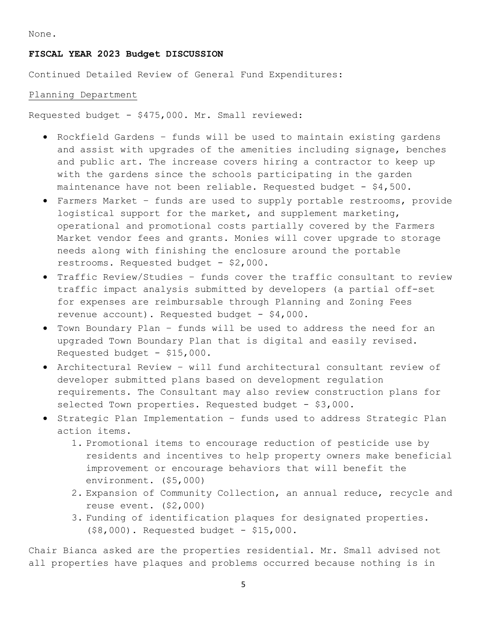None.

# **FISCAL YEAR 2023 Budget DISCUSSION**

Continued Detailed Review of General Fund Expenditures:

# Planning Department

Requested budget - \$475,000. Mr. Small reviewed:

- Rockfield Gardens funds will be used to maintain existing gardens and assist with upgrades of the amenities including signage, benches and public art. The increase covers hiring a contractor to keep up with the gardens since the schools participating in the garden maintenance have not been reliable. Requested budget -  $$4,500$ .
- Farmers Market funds are used to supply portable restrooms, provide logistical support for the market, and supplement marketing, operational and promotional costs partially covered by the Farmers Market vendor fees and grants. Monies will cover upgrade to storage needs along with finishing the enclosure around the portable restrooms. Requested budget - \$2,000.
- Traffic Review/Studies funds cover the traffic consultant to review traffic impact analysis submitted by developers (a partial off-set for expenses are reimbursable through Planning and Zoning Fees revenue account). Requested budget - \$4,000.
- Town Boundary Plan funds will be used to address the need for an upgraded Town Boundary Plan that is digital and easily revised. Requested budget - \$15,000.
- Architectural Review will fund architectural consultant review of developer submitted plans based on development regulation requirements. The Consultant may also review construction plans for selected Town properties. Requested budget - \$3,000.
- Strategic Plan Implementation funds used to address Strategic Plan action items.
	- 1. Promotional items to encourage reduction of pesticide use by residents and incentives to help property owners make beneficial improvement or encourage behaviors that will benefit the environment. (\$5,000)
	- 2. Expansion of Community Collection, an annual reduce, recycle and reuse event. (\$2,000)
	- 3. Funding of identification plaques for designated properties. (\$8,000). Requested budget - \$15,000.

Chair Bianca asked are the properties residential. Mr. Small advised not all properties have plaques and problems occurred because nothing is in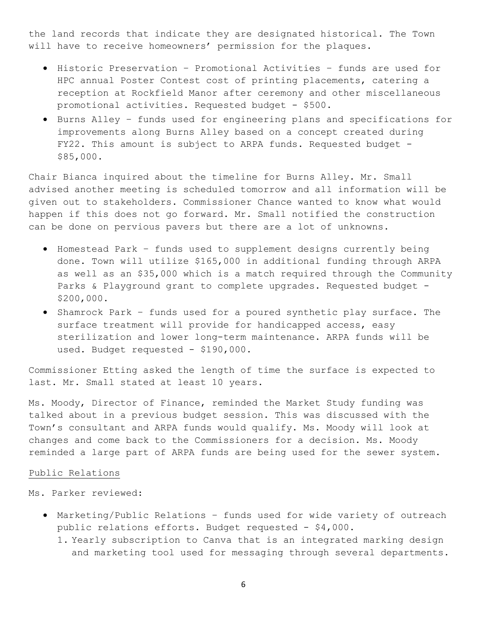the land records that indicate they are designated historical. The Town will have to receive homeowners' permission for the plaques.

- Historic Preservation Promotional Activities funds are used for HPC annual Poster Contest cost of printing placements, catering a reception at Rockfield Manor after ceremony and other miscellaneous promotional activities. Requested budget - \$500.
- Burns Alley funds used for engineering plans and specifications for improvements along Burns Alley based on a concept created during FY22. This amount is subject to ARPA funds. Requested budget -\$85,000.

Chair Bianca inquired about the timeline for Burns Alley. Mr. Small advised another meeting is scheduled tomorrow and all information will be given out to stakeholders. Commissioner Chance wanted to know what would happen if this does not go forward. Mr. Small notified the construction can be done on pervious pavers but there are a lot of unknowns.

- Homestead Park funds used to supplement designs currently being done. Town will utilize \$165,000 in additional funding through ARPA as well as an \$35,000 which is a match required through the Community Parks & Playground grant to complete upgrades. Requested budget - \$200,000.
- Shamrock Park funds used for a poured synthetic play surface. The surface treatment will provide for handicapped access, easy sterilization and lower long-term maintenance. ARPA funds will be used. Budget requested - \$190,000.

Commissioner Etting asked the length of time the surface is expected to last. Mr. Small stated at least 10 years.

Ms. Moody, Director of Finance, reminded the Market Study funding was talked about in a previous budget session. This was discussed with the Town's consultant and ARPA funds would qualify. Ms. Moody will look at changes and come back to the Commissioners for a decision. Ms. Moody reminded a large part of ARPA funds are being used for the sewer system.

## Public Relations

Ms. Parker reviewed:

- Marketing/Public Relations funds used for wide variety of outreach public relations efforts. Budget requested - \$4,000.
	- 1. Yearly subscription to Canva that is an integrated marking design and marketing tool used for messaging through several departments.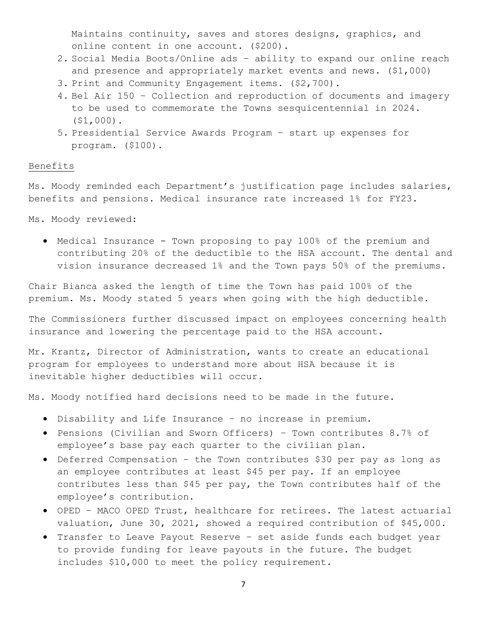Maintains continuity, saves and stores designs, graphics, and online content in one account. (\$200).

- 2. Social Media Boots/Online ads ability to expand our online reach and presence and appropriately market events and news. (\$1,000)
- 3. Print and Community Engagement items. (\$2,700).
- 4. Bel Air 150 Collection and reproduction of documents and imagery to be used to commemorate the Towns sesquicentennial in 2024. (\$1,000).
- 5. Presidential Service Awards Program start up expenses for program. (\$100).

## Benefits

Ms. Moody reminded each Department's justification page includes salaries, benefits and pensions. Medical insurance rate increased 1% for FY23.

Ms. Moody reviewed:

• Medical Insurance - Town proposing to pay 100% of the premium and contributing 20% of the deductible to the HSA account. The dental and vision insurance decreased 1% and the Town pays 50% of the premiums.

Chair Bianca asked the length of time the Town has paid 100% of the premium. Ms. Moody stated 5 years when going with the high deductible.

The Commissioners further discussed impact on employees concerning health insurance and lowering the percentage paid to the HSA account.

Mr. Krantz, Director of Administration, wants to create an educational program for employees to understand more about HSA because it is inevitable higher deductibles will occur.

Ms. Moody notified hard decisions need to be made in the future.

- Disability and Life Insurance no increase in premium.
- Pensions (Civilian and Sworn Officers) Town contributes 8.7% of employee's base pay each quarter to the civilian plan.
- Deferred Compensation the Town contributes \$30 per pay as long as an employee contributes at least \$45 per pay. If an employee contributes less than \$45 per pay, the Town contributes half of the employee's contribution.
- OPED MACO OPED Trust, healthcare for retirees. The latest actuarial valuation, June 30, 2021, showed a required contribution of \$45,000.
- Transfer to Leave Payout Reserve set aside funds each budget year to provide funding for leave payouts in the future. The budget includes \$10,000 to meet the policy requirement.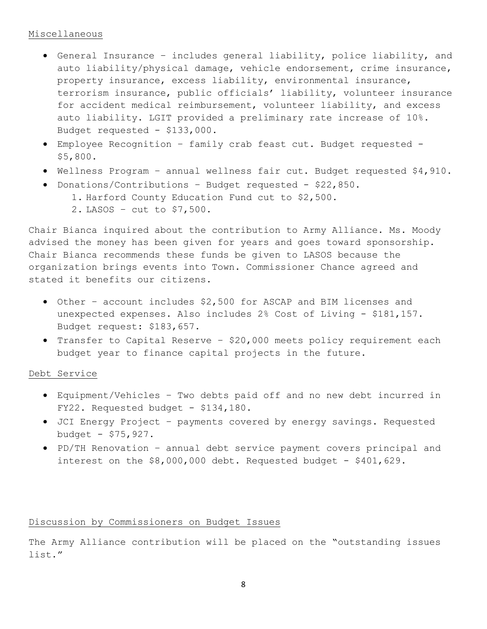# Miscellaneous

- General Insurance includes general liability, police liability, and auto liability/physical damage, vehicle endorsement, crime insurance, property insurance, excess liability, environmental insurance, terrorism insurance, public officials' liability, volunteer insurance for accident medical reimbursement, volunteer liability, and excess auto liability. LGIT provided a preliminary rate increase of 10%. Budget requested - \$133,000.
- Employee Recognition family crab feast cut. Budget requested \$5,800.
- Wellness Program annual wellness fair cut. Budget requested \$4,910.
- Donations/Contributions Budget requested \$22,850.
	- 1. Harford County Education Fund cut to \$2,500.
	- 2. LASOS cut to \$7,500.

Chair Bianca inquired about the contribution to Army Alliance. Ms. Moody advised the money has been given for years and goes toward sponsorship. Chair Bianca recommends these funds be given to LASOS because the organization brings events into Town. Commissioner Chance agreed and stated it benefits our citizens.

- Other account includes \$2,500 for ASCAP and BIM licenses and unexpected expenses. Also includes 2% Cost of Living - \$181,157. Budget request: \$183,657.
- Transfer to Capital Reserve \$20,000 meets policy requirement each budget year to finance capital projects in the future.

# Debt Service

- Equipment/Vehicles Two debts paid off and no new debt incurred in FY22. Requested budget - \$134,180.
- JCI Energy Project payments covered by energy savings. Requested budget - \$75,927.
- PD/TH Renovation annual debt service payment covers principal and interest on the \$8,000,000 debt. Requested budget - \$401,629.

# Discussion by Commissioners on Budget Issues

The Army Alliance contribution will be placed on the "outstanding issues list."